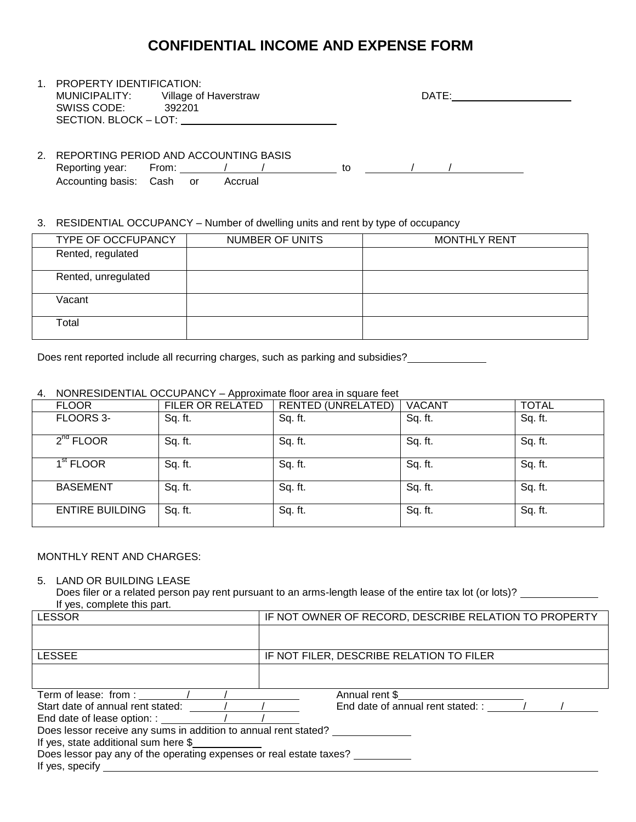# **CONFIDENTIAL INCOME AND EXPENSE FORM**

| $1_{-}$ | PROPERTY IDENTIFICATION:                  |                       |    |       |  |
|---------|-------------------------------------------|-----------------------|----|-------|--|
|         | MUNICIPALITY:                             | Village of Haverstraw |    | DATE: |  |
|         | SWISS CODE:                               | 392201                |    |       |  |
|         | SECTION. BLOCK - LOT: VERTICAL CONTINUES. |                       |    |       |  |
|         |                                           |                       |    |       |  |
|         |                                           |                       |    |       |  |
| 2.      | REPORTING PERIOD AND ACCOUNTING BASIS     |                       |    |       |  |
|         | Reporting year:                           | From:                 | tΟ |       |  |
|         |                                           |                       |    |       |  |

3. RESIDENTIAL OCCUPANCY – Number of dwelling units and rent by type of occupancy

Accounting basis: Cash or Accrual

| TYPE OF OCCFUPANCY  | NUMBER OF UNITS | <b>MONTHLY RENT</b> |
|---------------------|-----------------|---------------------|
| Rented, regulated   |                 |                     |
| Rented, unregulated |                 |                     |
| Vacant              |                 |                     |
| Total               |                 |                     |

Does rent reported include all recurring charges, such as parking and subsidies?

# 4. NONRESIDENTIAL OCCUPANCY – Approximate floor area in square feet

| <b>FLOOR</b>           | FILER OR RELATED | <b>RENTED (UNRELATED)</b> | <b>VACANT</b> | <b>TOTAL</b> |
|------------------------|------------------|---------------------------|---------------|--------------|
| FLOORS 3-              | Sq. ft.          | Sq. ft.                   | Sq. ft.       | Sq. ft.      |
| $2^{nd}$ FLOOR         | Sq. ft.          | Sq. ft.                   | Sq. ft.       | Sq. ft.      |
| 1 <sup>st</sup> FLOOR  | Sq. ft.          | Sq. ft.                   | Sq. ft.       | Sq. ft.      |
| <b>BASEMENT</b>        | Sq. ft.          | Sq. ft.                   | Sq. ft.       | Sq. ft.      |
| <b>ENTIRE BUILDING</b> | Sq. ft.          | Sq. ft.                   | Sq. ft.       | Sq. ft.      |

#### MONTHLY RENT AND CHARGES:

## 5. LAND OR BUILDING LEASE

Does filer or a related person pay rent pursuant to an arms-length lease of the entire tax lot (or lots)? \_\_\_\_\_\_\_\_\_\_\_ If yes, complete this part.

| <b>LESSOR</b>                                                       | IF NOT OWNER OF RECORD, DESCRIBE RELATION TO PROPERTY |  |  |  |
|---------------------------------------------------------------------|-------------------------------------------------------|--|--|--|
|                                                                     |                                                       |  |  |  |
| <b>LESSEE</b>                                                       | IF NOT FILER, DESCRIBE RELATION TO FILER              |  |  |  |
|                                                                     |                                                       |  |  |  |
|                                                                     | Annual rent \$                                        |  |  |  |
| Start date of annual rent stated: / / /                             | End date of annual rent stated: : / /                 |  |  |  |
|                                                                     |                                                       |  |  |  |
| Does lessor receive any sums in addition to annual rent stated?     |                                                       |  |  |  |
| If yes, state additional sum here \$                                |                                                       |  |  |  |
| Does lessor pay any of the operating expenses or real estate taxes? |                                                       |  |  |  |
| If yes, specify                                                     |                                                       |  |  |  |